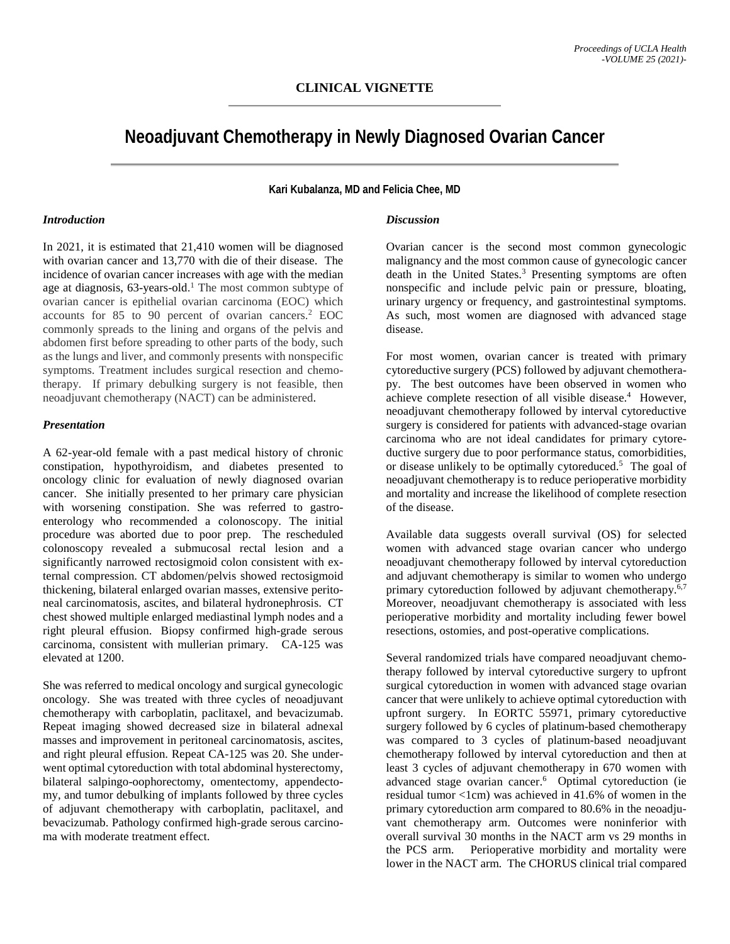# **Neoadjuvant Chemotherapy in Newly Diagnosed Ovarian Cancer**

**Kari Kubalanza, MD and Felicia Chee, MD**

### *Introduction*

In 2021, it is estimated that 21,410 women will be diagnosed with ovarian cancer and 13,770 with die of their disease. The incidence of ovarian cancer increases with age with the median age at diagnosis, 63-years-old.<sup>1</sup> The most common subtype of ovarian cancer is epithelial ovarian carcinoma (EOC) which accounts for 85 to 90 percent of ovarian cancers. <sup>2</sup> EOC commonly spreads to the lining and organs of the pelvis and abdomen first before spreading to other parts of the body, such as the lungs and liver, and commonly presents with nonspecific symptoms. Treatment includes surgical resection and chemotherapy. If primary debulking surgery is not feasible, then neoadjuvant chemotherapy (NACT) can be administered.

## *Presentation*

A 62-year-old female with a past medical history of chronic constipation, hypothyroidism, and diabetes presented to oncology clinic for evaluation of newly diagnosed ovarian cancer. She initially presented to her primary care physician with worsening constipation. She was referred to gastroenterology who recommended a colonoscopy. The initial procedure was aborted due to poor prep. The rescheduled colonoscopy revealed a submucosal rectal lesion and a significantly narrowed rectosigmoid colon consistent with external compression. CT abdomen/pelvis showed rectosigmoid thickening, bilateral enlarged ovarian masses, extensive peritoneal carcinomatosis, ascites, and bilateral hydronephrosis. CT chest showed multiple enlarged mediastinal lymph nodes and a right pleural effusion. Biopsy confirmed high-grade serous carcinoma, consistent with mullerian primary. CA-125 was elevated at 1200.

She was referred to medical oncology and surgical gynecologic oncology. She was treated with three cycles of neoadjuvant chemotherapy with carboplatin, paclitaxel, and bevacizumab. Repeat imaging showed decreased size in bilateral adnexal masses and improvement in peritoneal carcinomatosis, ascites, and right pleural effusion. Repeat CA-125 was 20. She underwent optimal cytoreduction with total abdominal hysterectomy, bilateral salpingo-oophorectomy, omentectomy, appendectomy, and tumor debulking of implants followed by three cycles of adjuvant chemotherapy with carboplatin, paclitaxel, and bevacizumab. Pathology confirmed high-grade serous carcinoma with moderate treatment effect.

### *Discussion*

Ovarian cancer is the second most common gynecologic malignancy and the most common cause of gynecologic cancer death in the United States.<sup>3</sup> Presenting symptoms are often nonspecific and include pelvic pain or pressure, bloating, urinary urgency or frequency, and gastrointestinal symptoms. As such, most women are diagnosed with advanced stage disease.

For most women, ovarian cancer is treated with primary cytoreductive surgery (PCS) followed by adjuvant chemotherapy. The best outcomes have been observed in women who achieve complete resection of all visible disease.<sup>4</sup> However, neoadjuvant chemotherapy followed by interval cytoreductive surgery is considered for patients with advanced-stage ovarian carcinoma who are not ideal candidates for primary cytoreductive surgery due to poor performance status, comorbidities, or disease unlikely to be optimally cytoreduced.<sup>5</sup> The goal of neoadjuvant chemotherapy is to reduce perioperative morbidity and mortality and increase the likelihood of complete resection of the disease.

Available data suggests overall survival (OS) for selected women with advanced stage ovarian cancer who undergo neoadjuvant chemotherapy followed by interval cytoreduction and adjuvant chemotherapy is similar to women who undergo primary cytoreduction followed by adjuvant chemotherapy.<sup>6,7</sup> Moreover, neoadjuvant chemotherapy is associated with less perioperative morbidity and mortality including fewer bowel resections, ostomies, and post-operative complications.

Several randomized trials have compared neoadjuvant chemotherapy followed by interval cytoreductive surgery to upfront surgical cytoreduction in women with advanced stage ovarian cancer that were unlikely to achieve optimal cytoreduction with upfront surgery. In EORTC 55971, primary cytoreductive surgery followed by 6 cycles of platinum-based chemotherapy was compared to 3 cycles of platinum-based neoadjuvant chemotherapy followed by interval cytoreduction and then at least 3 cycles of adjuvant chemotherapy in 670 women with advanced stage ovarian cancer. 6 Optimal cytoreduction (ie residual tumor <1cm) was achieved in 41.6% of women in the primary cytoreduction arm compared to 80.6% in the neoadjuvant chemotherapy arm. Outcomes were noninferior with overall survival 30 months in the NACT arm vs 29 months in the PCS arm. Perioperative morbidity and mortality were lower in the NACT arm. The CHORUS clinical trial compared